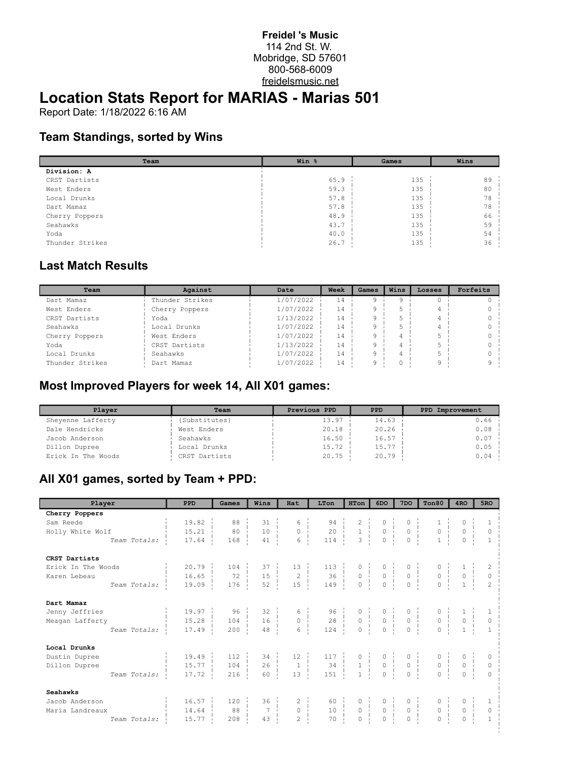#### **Freidel 's Music** 114 2nd St. W. Mobridge, SD 57601 800-568-6009 freidelsmusic.net

# **Location Stats Report for MARIAS - Marias 501**

Report Date: 1/18/2022 6:16 AM

### **Team Standings, sorted by Wins**

| Team            | Win % | Games | Wins |
|-----------------|-------|-------|------|
| Division: A     |       |       |      |
| CRST Dartists   | 65.9  | 135   | 89   |
| West Enders     | 59.3  | 135   | 80   |
| Local Drunks    | 57.8  | 135   | 78   |
| Dart Mamaz      | 57.8  | 135   | 78   |
| Cherry Poppers  | 48.9  | 135   | 66   |
| Seahawks        | 43.7  | 135   | 59   |
| Yoda            | 40.0  | 135   | 54   |
| Thunder Strikes | 26.7  | 135   | 36   |

### **Last Match Results**

| Team            | Against         | Date      | Week    | Games | Wins | Losses | Forfeits |
|-----------------|-----------------|-----------|---------|-------|------|--------|----------|
| Dart Mamaz      | Thunder Strikes | 1/07/2022 | $\pm 4$ |       |      |        |          |
| West Enders     | Cherry Poppers  | 1/07/2022 | 14      |       |      |        |          |
| CRST Dartists   | Yoda            | 1/13/2022 | 14      |       |      |        |          |
| Seahawks        | Local Drunks    | 1/07/2022 | 14      |       |      |        |          |
| Cherry Poppers  | West Enders     | 1/07/2022 | 14      |       |      |        |          |
| Yoda            | CRST Dartists   | 1/13/2022 | 14      |       |      |        |          |
| Local Drunks    | Seahawks        | 1/07/2022 | 14      |       |      |        |          |
| Thunder Strikes | Dart Mamaz      | 1/07/2022 | 14      |       |      |        | $\sim$   |

#### **Most Improved Players for week 14, All X01 games:**

| Plaver             | Team          | Previous PPD | <b>PPD</b> | PPD Improvement |
|--------------------|---------------|--------------|------------|-----------------|
| Sheyenne Lafferty  | {Substitutes} | 13.97        | 14.63      | 0.66            |
| Dale Hendricks     | West Enders   | 20.18        | 20.26      | 0.08            |
| Jacob Anderson     | Seahawks      | 16.50        | 16.57      | 0.07            |
| Dillon Dupree      | Local Drunks  | 15.72        | 15.77      | 0.05            |
| Erick In The Woods | CRST Dartists | 20.75        | 20.79      | 0.04            |

### **All X01 games, sorted by Team + PPD:**

| Player             | PPD                   | Games   | Wins            | Hat                  | LTon                                                             | <b>HTon</b> | 6DO                                                                                                                           | 7 <sub>DO</sub>                                                   | Ton80                                                | 4 <sub>RO</sub>                           | 5RO            |
|--------------------|-----------------------|---------|-----------------|----------------------|------------------------------------------------------------------|-------------|-------------------------------------------------------------------------------------------------------------------------------|-------------------------------------------------------------------|------------------------------------------------------|-------------------------------------------|----------------|
| Cherry Poppers     |                       |         |                 |                      |                                                                  |             |                                                                                                                               |                                                                   |                                                      |                                           |                |
| Sam Reede          | 19.82                 | 88      | 31              | 6                    | 94                                                               |             |                                                                                                                               |                                                                   |                                                      | 0                                         |                |
| Holly White Wolf   | 15.21                 | 80      | 10              | $\circ$<br>÷         | $\begin{array}{c c}\n 94 \\  20 \\  \hline\n 14\n \end{array}$   |             | $\begin{bmatrix} 1 & 0 & 0 \\ 3 & 0 & 0 \\ 0 & 0 & 0 \end{bmatrix}$                                                           | $\begin{matrix} 0 &   &   \\ 0 &   &   \\ 0 &   &   \end{matrix}$ | $\begin{array}{c} 0 \\ 1 \end{array}$                | $\mathbb O$                               | $\circ$        |
| Team Totals:       | 17.64                 | 168     | 41              | 6                    | 114                                                              |             |                                                                                                                               |                                                                   |                                                      | $\circ$                                   | $\mathbf{1}$   |
| CRST Dartists      |                       |         |                 |                      |                                                                  |             |                                                                                                                               |                                                                   |                                                      |                                           |                |
| Erick In The Woods | $20.79$ $\frac{1}{2}$ | $104 -$ | 37              |                      |                                                                  |             |                                                                                                                               |                                                                   |                                                      |                                           |                |
| Karen Lebeau       | 16.65                 | 72      | 15<br>i.        |                      |                                                                  |             |                                                                                                                               |                                                                   | $\begin{matrix} 0 &   &   \\ 0 &   &   \end{matrix}$ | $\begin{matrix} 0 \\ 1 \end{matrix}$<br>÷ | $\circ$        |
| Team Totals:       | 19.09                 | 176     | 52              |                      | $\begin{array}{c c} 0 & 113 \\ 2 & 36 \\ 15 & 149 \end{array}$ . |             | $\begin{array}{cccc} 0 & \vdots & 0 & \vdots & 0 \\ 0 & \vdots & 0 & \vdots & 0 \\ 0 & \vdots & 0 & \vdots & 0 \end{array}$   |                                                                   |                                                      |                                           | $\overline{2}$ |
| Dart Mamaz         |                       |         |                 |                      |                                                                  |             |                                                                                                                               |                                                                   |                                                      |                                           |                |
| Jenny Jeffries     | 19.97                 | 96      | 32              |                      | $\begin{array}{c cc} 6 & 96 \\ 0 & 28 \end{array}$               |             | $\begin{array}{cccc} 0 &   & & 0 &   & & \\ 0 &   & & 0 &   & & \\ 0 &   & & 0 &   & & \\ 0 &   & & 0 &   & & \\ \end{array}$ |                                                                   |                                                      |                                           |                |
| Meagan Lafferty    | 15.28                 | 104     | 16              |                      |                                                                  |             |                                                                                                                               | $0$                                                               | $0 \frac{1}{2}$                                      | $\overline{0}$                            | $\circ$        |
| Team Totals:       | 17.49                 | 200     | 48              | 6                    | 124                                                              |             |                                                                                                                               |                                                                   | $\circ$                                              |                                           | $\mathbf{1}$   |
| Local Drunks       |                       |         |                 |                      |                                                                  |             |                                                                                                                               |                                                                   |                                                      |                                           |                |
| Dustin Dupree      | 19.49                 | 112     | 34              | $12 - 1$             |                                                                  |             |                                                                                                                               | $\begin{matrix} 0 & \vdots \\ 0 & \vdots \end{matrix}$            |                                                      | 0                                         | $\circ$        |
| Dillon Dupree      | 15.77                 | 104     | 26 <sup>1</sup> | $\frac{1}{\sqrt{2}}$ |                                                                  |             |                                                                                                                               |                                                                   | 0 <sup>1</sup>                                       | $\overline{0}$                            | $\circ$        |
| Team Totals:       | 17.72                 | 216     | 60              | 13                   |                                                                  |             |                                                                                                                               | $\mathbf 0$                                                       | $\circ$                                              | $\circ$                                   | $\Omega$       |
| <b>Seahawks</b>    |                       |         |                 |                      |                                                                  |             |                                                                                                                               |                                                                   |                                                      |                                           |                |
| Jacob Anderson     | 16.57                 | 120     | 36              | $\mathbf{2}$         | 60                                                               |             |                                                                                                                               |                                                                   | 0                                                    | $\circ$                                   |                |
| Maria Landreaux    | 14.64                 | 88      | $\overline{7}$  | 0 <sup>1</sup>       | 10                                                               |             | $\begin{array}{c c c c c} \n0 & 0 & 0 & \n\end{array}$                                                                        | $0 \quad \frac{1}{2}$                                             | $0 \quad 1$                                          | $\mathbb O$<br>$\pm$                      | $\circ$        |
| Team Totals:       | 15.77                 | 208     | 43              | $\overline{2}$       | 70                                                               | $\circ$     | $\circ$                                                                                                                       | $\mathbf 0$                                                       | $\circ$                                              | $\circ$                                   | $\mathbf{1}$   |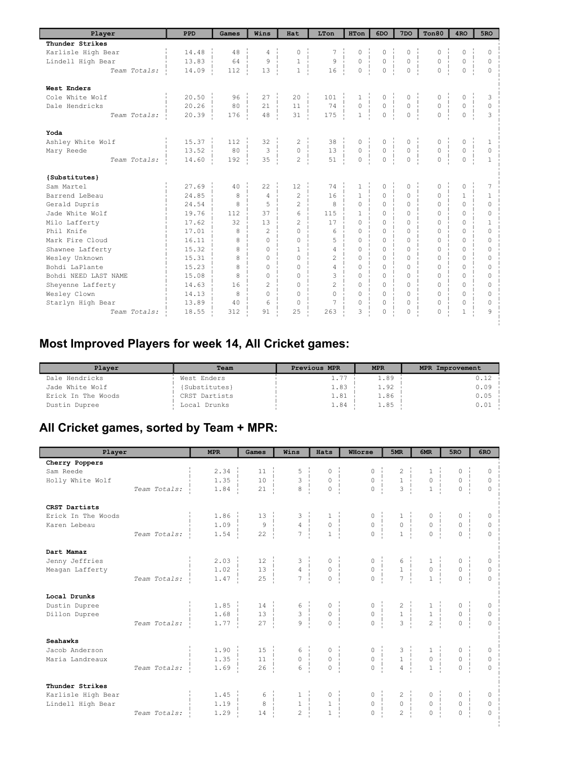| Player               | PPD                    | Games | Wins           | Hat            | LTon           | <b>HTon</b>                    | 6DO      | 7 <sub>DO</sub>                     | Ton80    | 4 <sub>RO</sub> | 5RO          |
|----------------------|------------------------|-------|----------------|----------------|----------------|--------------------------------|----------|-------------------------------------|----------|-----------------|--------------|
| Thunder Strikes      |                        |       |                |                |                |                                |          |                                     |          |                 |              |
| Karlisle High Bear   | 14.48                  | 48    | 4              | $\Omega$       | 7              | $\circ$                        | $\circ$  | $\circ$                             | 0        | 0               | $\circ$      |
| Lindell High Bear    | 13.83                  | 64    | 9              | $\mathbf{1}$   | 9              | $\circ$                        | $\circ$  | $\circ$<br>$\mathbf{I}$             | 0        | $\circ$         | $\Omega$     |
| Team Totals:         | 14.09                  | 112   | 13             | $\mathbf{1}$   | 16             | $\circ$                        | $\circ$  | $\circ$                             | 0        | $\circ$         | $\Omega$     |
| West Enders          |                        |       |                |                |                |                                |          |                                     |          |                 |              |
| Cole White Wolf      | 20.50                  | 96    | 27             | 20             | 101            | $\mathbf{1}$                   | 0        | 0                                   | 0        | 0               | 3            |
| Dale Hendricks       | 20.26                  | 80    | 2.1            | 11             | 74             | $\circ$                        | $\circ$  | $\mathsf{O}\xspace$<br>$\mathbf{L}$ | 0        | $\circ$         | $\Omega$     |
| Team Totals:         | 20.39                  | 176   | 48             | 31             | 175            | $\mathbf{1}$                   | $\circ$  | $\circ$<br>$\mathbf{L}$             | $\Omega$ | $\Omega$        | 3            |
| Yoda                 |                        |       |                |                |                |                                |          |                                     |          |                 |              |
| Ashley White Wolf    | 15.37                  | 112   | 32             | $\overline{c}$ | 38             | 0                              | 0        | 0                                   | 0        | 0               | $\mathbf{1}$ |
| Mary Reede           | 13.52                  | 80    | 3              | $\Omega$       | 13             | $\circ$                        | $\circ$  | $\circ$                             | 0        | $\circ$         | $\Omega$     |
| Team Totals:         | 14.60<br>$\mathcal{A}$ | 192   | 35             | $\overline{2}$ | 51             | $\overline{0}$<br>$\mathbf{L}$ | $\circ$  | $\circ$<br>$\pm$<br>$\mathbb{R}$    | 0        | $\mathbf 0$     | $\mathbf{1}$ |
| {Substitutes}        |                        |       |                |                |                |                                |          |                                     |          |                 |              |
| Sam Martel           | 27.69                  | 40    | 22.2           | 12             | 74             | $\mathbf{1}$                   | 0        | 0                                   | 0        | 0               | 7            |
| Barrend LeBeau       | 24.85                  | 8     | $\overline{4}$ | $\overline{c}$ | 16             | $\mathbf{1}$                   | $\Omega$ | $\Omega$                            | $\Omega$ | $\mathbf{1}$    | $\mathbf{1}$ |
| Gerald Dupris        | 24.54                  | 8     | 5              | $\mathfrak{D}$ | 8              | $\Omega$                       | $\Omega$ | $\Omega$                            | $\Omega$ | $\Omega$        | $\Omega$     |
| Jade White Wolf      | 19.76                  | 112   | 37             | 6              | 115            | 1.                             | $\Omega$ | 0                                   | 0        | $\circ$         | 0            |
| Milo Lafferty        | 17.62                  | 32    | 13             | $\mathfrak{D}$ | 17             | $\Omega$                       | $\Omega$ | $\Omega$                            | $\Omega$ | $\Omega$        | $\mathbf{1}$ |
| Phil Knife           | 17.01                  | 8     | $\mathfrak{D}$ | $\Omega$       | 6              | $\Omega$                       | $\Omega$ | $\Omega$                            | $\Omega$ | $\Omega$        | $\Omega$     |
| Mark Fire Cloud      | 16.11                  | 8     | $\Omega$       | $\Omega$       | 5              | $\Omega$                       | $\Omega$ | $\Omega$                            | $\Omega$ | $\Omega$        | $\Omega$     |
| Shawnee Lafferty     | 15.32                  | 8     | 0              | 1              | 4              | $\Omega$                       | $\Omega$ | $\Omega$                            | 0        | 0               | 0            |
| Wesley Unknown       | 15.31                  | 8     | $\Omega$       | $\Omega$       | $\mathfrak{D}$ | $\cap$                         | $\Omega$ | $\Omega$                            | $\Omega$ | $\circ$         | 0            |
| Bohdi LaPlante       | 15.23                  | 8     | $\Omega$       | $\Omega$       | 4              | $\Omega$                       | $\Omega$ | $\Omega$                            | $\Omega$ | $\Omega$        | $\Omega$     |
| Bohdi NEED LAST NAME | 15.08                  | 8     | $\Omega$       | $\Omega$       | 3              | $\Omega$                       | $\Omega$ | $\Omega$                            | 0        | $\Omega$        | $\Omega$     |
| Sheyenne Lafferty    | 14.63                  | 16    | 2              | $\Omega$       | $\overline{c}$ | $\Omega$                       | $\Omega$ | $\Omega$                            | $\Omega$ | $\Omega$        | $\Omega$     |
| Wesley Clown         | 14.13                  | 8     | $\Omega$       | $\Omega$       | $\Omega$       | $\Omega$                       | $\Omega$ | $\Omega$                            | 0        | $\circ$         | $\Omega$     |
| Starlyn High Bear    | 13.89                  | 40    | 6              | $\Omega$       | 7              | $\Omega$                       | $\Omega$ | $\circ$                             | $\Omega$ | $\circ$         | $\Omega$     |
| Team Totals:         | 18.55                  | 312   | 91             | 25             | 263            | 3                              | 0        | $\circ$                             | 0        | $\mathbf{1}$    | 9            |
|                      |                        |       |                |                |                |                                |          |                                     |          |                 |              |

# **Most Improved Players for week 14, All Cricket games:**

| Player             | Team          | Previous MPR | <b>MPR</b> | MPR Improvement |
|--------------------|---------------|--------------|------------|-----------------|
| Dale Hendricks     | West Enders   | $\pm 0.7$    | 1.89       |                 |
| Jade White Wolf    | {Substitutes} | 1.83         | 1.92       | $0.09 -$        |
| Erick In The Woods | CRST Dartists | 1.81         | 1.86       | $0.05 -$        |
| Dustin Dupree      | Local Drunks  | 1.84         | 1.85       | $0.01 -$        |

# **All Cricket games, sorted by Team + MPR:**

| Player             |              | <b>MPR</b>           | Games              | Wins                                                                                           | Hats                                                    | WHorse                                                                              | 5MR                                                            | 6MR                                                 | 5RO                                                    | 6RO      |
|--------------------|--------------|----------------------|--------------------|------------------------------------------------------------------------------------------------|---------------------------------------------------------|-------------------------------------------------------------------------------------|----------------------------------------------------------------|-----------------------------------------------------|--------------------------------------------------------|----------|
| Cherry Poppers     |              |                      |                    |                                                                                                |                                                         |                                                                                     |                                                                |                                                     |                                                        |          |
| Sam Reede          |              | $2.34 -$             | $11 -$             |                                                                                                | $\circ$                                                 | 0                                                                                   |                                                                |                                                     | 0                                                      | $\circ$  |
| Holly White Wolf   |              | 1.35<br>$\mathbb{R}$ | 10 <sup>°</sup>    | $\begin{array}{c} 3 \\ 8 \end{array}$<br>÷                                                     | $\begin{matrix} 0 \\ 0 \\ 0 \end{matrix}$<br>÷          | $\begin{array}{c} 0 \\ 0 \\ \vdots \\ 0 \end{array}$                                | $\begin{array}{c} 1 \\ 1 \\ 3 \end{array}$                     | $\begin{array}{c} 1 \\ 0 \\ 1 \end{array}$          | $\begin{matrix} 0 \\ 0 \end{matrix}$<br>$\frac{1}{2}$  | $\circ$  |
|                    | Team Totals: | 1.84                 | 21                 |                                                                                                |                                                         |                                                                                     |                                                                |                                                     |                                                        | $\Omega$ |
| CRST Dartists      |              |                      |                    |                                                                                                |                                                         |                                                                                     |                                                                |                                                     |                                                        |          |
| Erick In The Woods |              | $1.86 \pm$           | $13 -$             |                                                                                                |                                                         |                                                                                     |                                                                | $\begin{matrix} 0 \\ 0 \\ \vdots \\ 0 \end{matrix}$ |                                                        | $\Omega$ |
| Karen Lebeau       |              | $1.09$ $\frac{1}{2}$ | $\mathsf 9$<br>- 1 | $\begin{array}{c} 4 \\ 4 \\ 7 \end{array}$                                                     | $\begin{array}{c} 1\\0\\1 \end{array}$                  | $\begin{array}{c} 0 \\ 0 \\ 1 \end{array}$                                          | $\begin{array}{c} 1\\0\\1 \end{array}$                         |                                                     | $\begin{matrix} 0 \\ 0 \end{matrix}$<br>$\frac{1}{2}$  | $\circ$  |
|                    | Team Totals: | 1.54                 | 22                 |                                                                                                |                                                         |                                                                                     |                                                                |                                                     |                                                        | $\Omega$ |
| Dart Mamaz         |              |                      |                    |                                                                                                |                                                         |                                                                                     |                                                                |                                                     |                                                        |          |
| Jenny Jeffries     |              | $2.03 \pm$           | $12 - 1$           |                                                                                                | $\begin{matrix} 0 & \vdots \\ 0 & \vdots \end{matrix}$  | $\begin{array}{c c} 0 & \cdots \\ 0 & \cdots \\ \hline \ddots & \vdots \end{array}$ |                                                                |                                                     |                                                        | $\circ$  |
| Meagan Lafferty    |              | 1.02                 | 13                 | $\begin{array}{c c}\n\downarrow & & \\ \downarrow & & \\ \hline\n4 & & \\ \hline\n\end{array}$ |                                                         |                                                                                     | $\begin{array}{c} 6 \\ 1 \\ 7 \end{array}$                     | $\begin{array}{c} 1\\ 0\\ 1\\ \end{array}$          | $\overline{0}$                                         | $\Omega$ |
|                    | Team Totals: | $1.47 -$             | 25                 |                                                                                                | $\overline{0}$                                          |                                                                                     |                                                                |                                                     | $\overline{0}$                                         | $\Omega$ |
| Local Drunks       |              |                      |                    |                                                                                                |                                                         |                                                                                     |                                                                |                                                     |                                                        |          |
| Dustin Dupree      |              | $1.85 \frac{1}{2}$   | $14 -$             |                                                                                                |                                                         |                                                                                     |                                                                |                                                     |                                                        | $\Omega$ |
| Dillon Dupree      |              | 1.68                 | 13                 | $\begin{array}{c c} 6 & 1 \\ 3 & 1 \end{array}$                                                | $\begin{matrix} 0 & \vdots \\ 0 & \vdots \end{matrix}$  | $\begin{array}{c} 0 \\ 0 \\ \vdots \end{array}$                                     | $\begin{array}{c} 2 \\ 1 \\ 3 \end{array}$                     | $\begin{array}{c} 1 \\ 1 \\ 2 \end{array}$          | $\begin{matrix} 0 & \vdots \\ 0 & \vdots \end{matrix}$ | $\circ$  |
|                    | Team Totals: | $1.77$ $\vdots$      | 27                 | $\circ$                                                                                        | $\overline{0}$                                          |                                                                                     |                                                                |                                                     | $\overline{0}$                                         | $\Omega$ |
| <b>Seahawks</b>    |              |                      |                    |                                                                                                |                                                         |                                                                                     |                                                                |                                                     |                                                        |          |
| Jacob Anderson     |              | $1.90 \cdot$         | $15 -$             | 6                                                                                              | $0 - i$                                                 |                                                                                     | $\begin{array}{c c} 3 &   & \\ 1 &   & \\ 4 &   & \end{array}$ | $\begin{array}{c} 1 \\ 0 \end{array}$               | $\begin{matrix} 0 & \vdots \\ 0 & \vdots \end{matrix}$ | $\Omega$ |
| Maria Landreaux    |              | 1.35                 | $11 \quad$         | $\overline{0}$ $\overline{1}$                                                                  | $\circ$<br>-1                                           | $\begin{array}{c} 0 \\ 0 \\ 1 \\ 0 \end{array}$                                     |                                                                |                                                     |                                                        | $\circ$  |
|                    | Team Totals: | 1.69                 | 26                 | 6                                                                                              | $\circ$                                                 | $\overline{0}$                                                                      |                                                                | $\frac{0}{1}$                                       | $\Omega$                                               | $\Omega$ |
| Thunder Strikes    |              |                      |                    |                                                                                                |                                                         |                                                                                     |                                                                |                                                     |                                                        |          |
| Karlisle High Bear |              | $1.45 -$             | $6\frac{1}{2}$     |                                                                                                |                                                         | 0                                                                                   |                                                                | $0 - i$                                             | 0                                                      | 0        |
| Lindell High Bear  |              | 1.19                 | $\frac{0}{8}$      | $\begin{array}{c} 1 \\ 1 \\ 2 \end{array}$                                                     | $\begin{bmatrix} 0 & 1 \\ 1 & 1 \\ 1 & 1 \end{bmatrix}$ | $\begin{matrix} 0 & \vdots \\ 0 & \vdots \end{matrix}$                              | $\begin{array}{c} 2 \\ 0 \\ 2 \end{array}$                     | $0 \quad   \quad$                                   | $\frac{1}{1}$<br>$\overline{0}$                        | $\circ$  |
|                    | Team Totals: | 1.29                 | 14                 |                                                                                                |                                                         | $\circ$                                                                             |                                                                | $\overline{0}$                                      | $\Omega$                                               | $\Omega$ |
|                    |              |                      |                    |                                                                                                |                                                         |                                                                                     |                                                                |                                                     |                                                        |          |